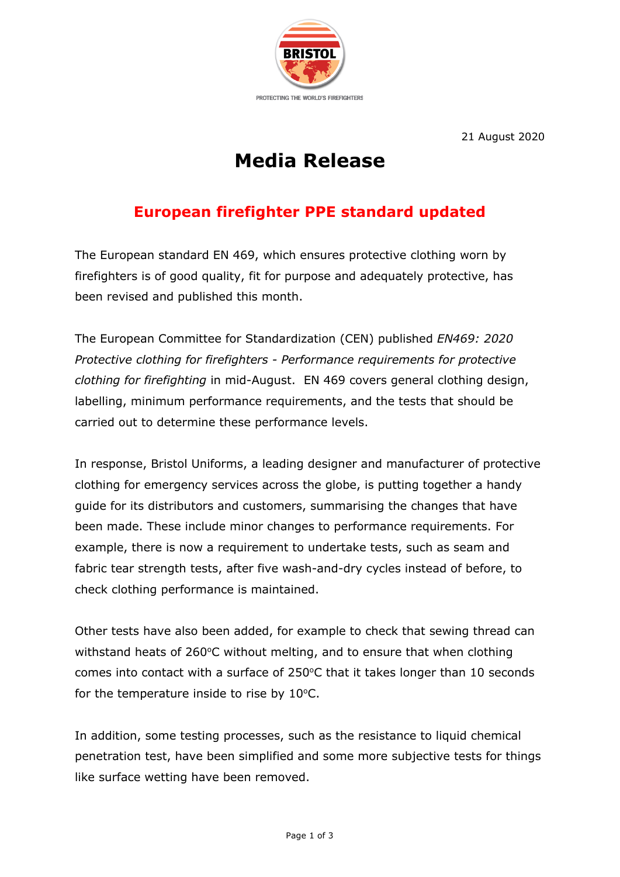

21 August 2020

## **Media Release**

## **European firefighter PPE standard updated**

The European standard EN 469, which ensures protective clothing worn by firefighters is of good quality, fit for purpose and adequately protective, has been revised and published this month.

The European Committee for Standardization (CEN) published *EN469: 2020 Protective clothing for firefighters - Performance requirements for protective clothing for firefighting* in mid-August. EN 469 covers general clothing design, labelling, minimum performance requirements, and the tests that should be carried out to determine these performance levels.

In response, Bristol Uniforms, a leading designer and manufacturer of protective clothing for emergency services across the globe, is putting together a handy guide for its distributors and customers, summarising the changes that have been made. These include minor changes to performance requirements. For example, there is now a requirement to undertake tests, such as seam and fabric tear strength tests, after five wash-and-dry cycles instead of before, to check clothing performance is maintained.

Other tests have also been added, for example to check that sewing thread can withstand heats of 260 $\degree$ C without melting, and to ensure that when clothing comes into contact with a surface of  $250^{\circ}$ C that it takes longer than 10 seconds for the temperature inside to rise by  $10^{\circ}$ C.

In addition, some testing processes, such as the resistance to liquid chemical penetration test, have been simplified and some more subjective tests for things like surface wetting have been removed.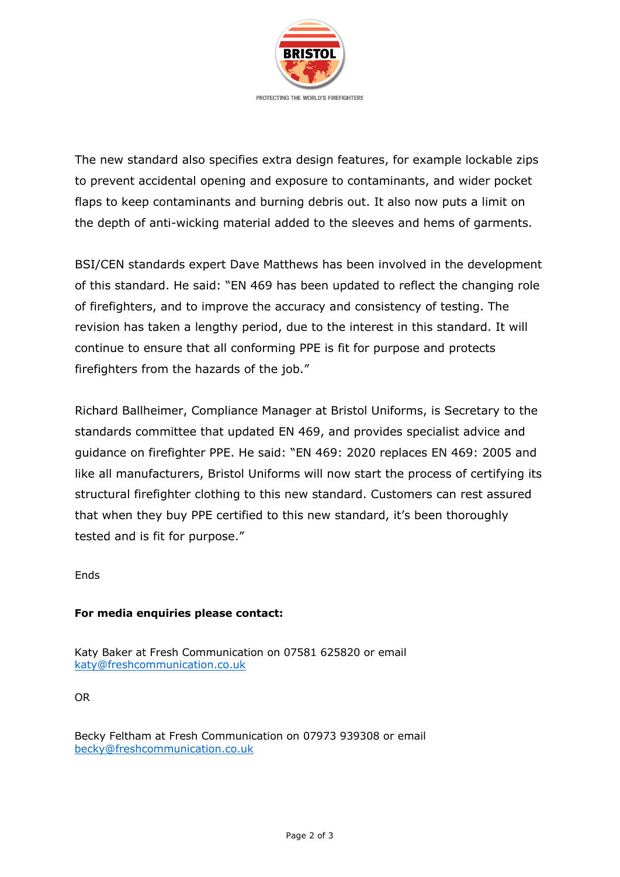

The new standard also specifies extra design features, for example lockable zips to prevent accidental opening and exposure to contaminants, and wider pocket flaps to keep contaminants and burning debris out. It also now puts a limit on the depth of anti-wicking material added to the sleeves and hems of garments.

BSI/CEN standards expert Dave Matthews has been involved in the development of this standard. He said: "EN 469 has been updated to reflect the changing role of firefighters, and to improve the accuracy and consistency of testing. The revision has taken a lengthy period, due to the interest in this standard. It will continue to ensure that all conforming PPE is fit for purpose and protects firefighters from the hazards of the job."

Richard Ballheimer, Compliance Manager at Bristol Uniforms, is Secretary to the standards committee that updated EN 469, and provides specialist advice and guidance on firefighter PPE. He said: "EN 469: 2020 replaces EN 469: 2005 and like all manufacturers, Bristol Uniforms will now start the process of certifying its structural firefighter clothing to this new standard. Customers can rest assured that when they buy PPE certified to this new standard, it's been thoroughly tested and is fit for purpose."

Ends

## **For media enquiries please contact:**

Katy Baker at Fresh Communication on 07581 625820 or email katy@freshcommunication.co.uk

OR

Becky Feltham at Fresh Communication on 07973 939308 or email becky@freshcommunication.co.uk